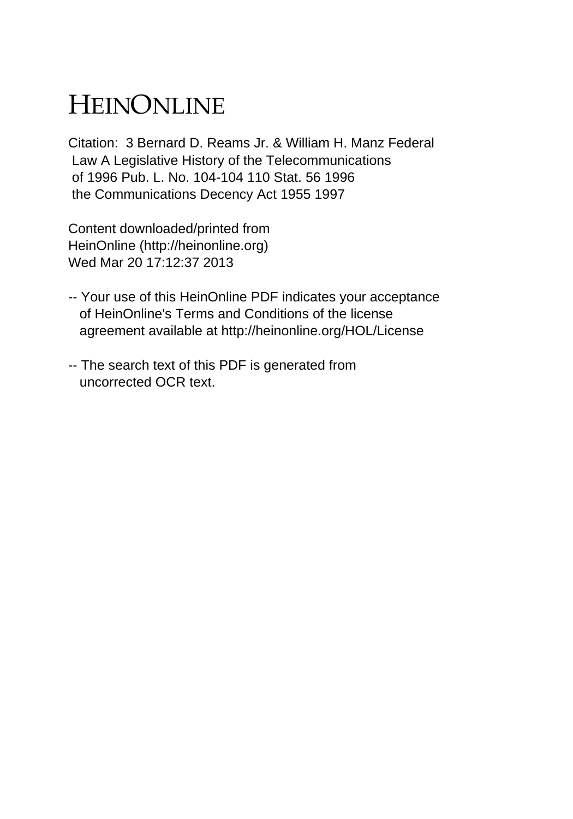# HEINONLINE

Citation: 3 Bernard D. Reams Jr. & William H. Manz Federal Law A Legislative History of the Telecommunications of 1996 Pub. L. No. 104-104 110 Stat. 56 1996 the Communications Decency Act 1955 1997

Content downloaded/printed from HeinOnline (http://heinonline.org) Wed Mar 20 17:12:37 2013

- -- Your use of this HeinOnline PDF indicates your acceptance of HeinOnline's Terms and Conditions of the license agreement available at http://heinonline.org/HOL/License
- -- The search text of this PDF is generated from uncorrected OCR text.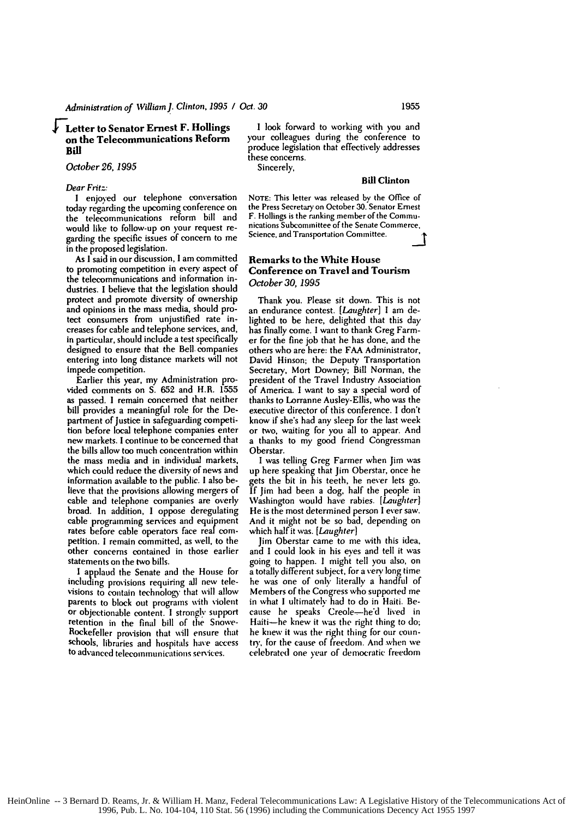*Administration of William]. Clinton, 1995 / Oct. 30*

# **Letter to Senator Ernest F. Hoilings on the Telecommunications Reform Bil**

## *October26, 1995*

#### *Dear Fritz:*

**I** enjoyed our telephone conversation today regarding the upcoming conference on the telecommunications reform bill and would like to follow-up on your request regarding the specific issues of concern to me in the proposed legislation.

As I said in our discussion, I am committed to promoting competition in every aspect of the telecommunications and information industries. I believe that the legislation should protect and promote diversity of ownership and opinions in the mass media, should protect consumers from unjustified rate increases for cable and telephone services, and, in particular, should include a test specifically designed to ensure that the Bell. companies entering into long distance markets will not impede competition.

Earlier this year, my Administration provided comments on S. 652 and H.R. 1555 as passed. **I** remain concerned that neither bill provides a meaningful role for the Department of Justice in safeguarding competition before local telephone companies enter new markets. I continue to be concerned that the bills allow too much concentration within the mass media and in individual markets, which could reduce the diversity of news and information available to the public. **I** also believe that the provisions allowing mergers of cable and telephone companies are overly broad. In addition, I oppose deregulating cable programming services and equipment rates before cable operators face real competition. I remain committed, as well, to the other concerns contained in those earlier statements on the two bills.

**I** applaud the Senate and the House for including provisions requiring all new televisions to contain technology that will allow parents to block out programs with violent or objectionable content. **I** strongl' support retention in the final bill of the Snowe-Rockefeller provision that will ensure that schools, libraries and hospitals have access to advanced telecommunications senices.

**I** look forward to working with you and your colleagues during the conference to produce legislation that effectively addresses these concerns.

## Sincerely,

### **Bill Clinton**

**NOTE:** This letter was released by the Office of the Press Secretary on October 30. Senator Ernest F. Hollings is the ranking member of the Communications Subcommittee of the Senate Commerce, Science, and Transportation Committee.

## **Remarks to the White** House **Conference on** Travel and **Tourism** *October 30, 1995*

Thank you. Please sit down. This is not an endurance contest. *[Laughter]* I am delighted to be here, delighted that this day has finally come. I want to thank Greg Farmer for the fine job that he has done, and the others who are here: the FAA Administrator, David Hinson; the Deputy Transportation Secretary, Mort Downey; Bill Norman, the president of the Travel Industry Association of America. I want to say a special word of thanks to Lorranne Ausley-Ellis, who was the executive director of this conference. I don't know if she's had any sleep for the last week or two, waiting for you all to appear. And a thanks to my good friend Congressman Oberstar.

I was telling Greg Farmer when Jim was up here seaking that Jim Oberstar, once he gets the bit in his teeth, he never lets go. If Jim had been a dog, half the people in Washington would have rabies. *[Laughter]* He is the most determined person I ever saw. And it might not be so bad, depending on which half it was. *[Laughter]*

Jim Oberstar came to me with this idea, and I could look in his eyes and tell it was going to happen. I might tell you also, on a totally different subject, for a very long time he was one of only literally a handful of Members of the Congress who supported me in what **I** ultimately had to do in Haiti. Because he speaks Creole-he'd lived in Haiti-he knew it was the right thing to do; he knew it was the right thing for our country, for the cause of freedom. And when we celebrated one year of democratic freedom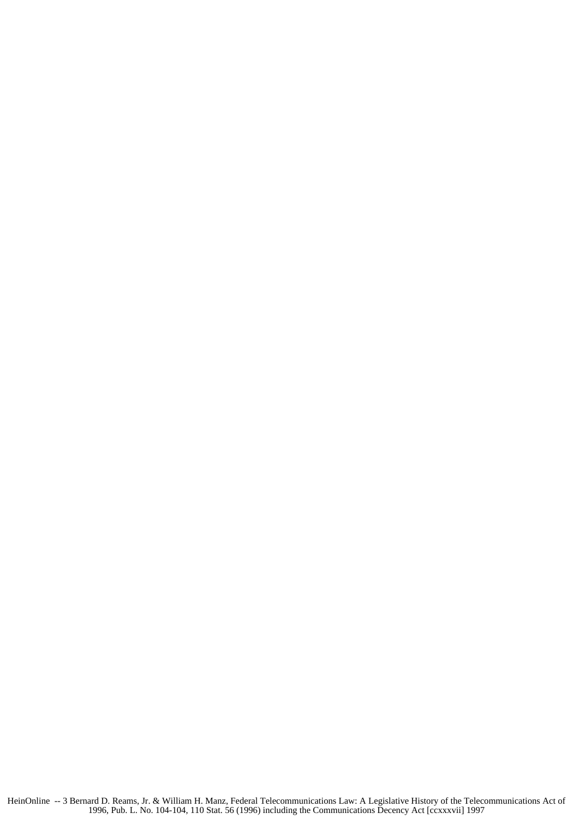HeinOnline -- 3 Bernard D. Reams, Jr. & William H. Manz, Federal Telecommunications Law: A Legislative History of the Telecommunications Act of 1996, Pub. L. No. 104-104, 110 Stat. 56 (1996) including the Communications Decency Act [ccxxxvii] 1997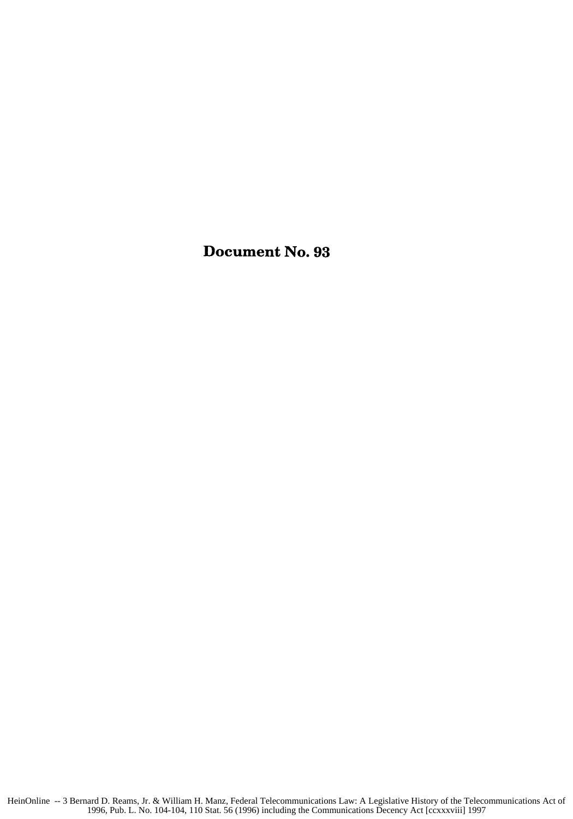Document No. **93**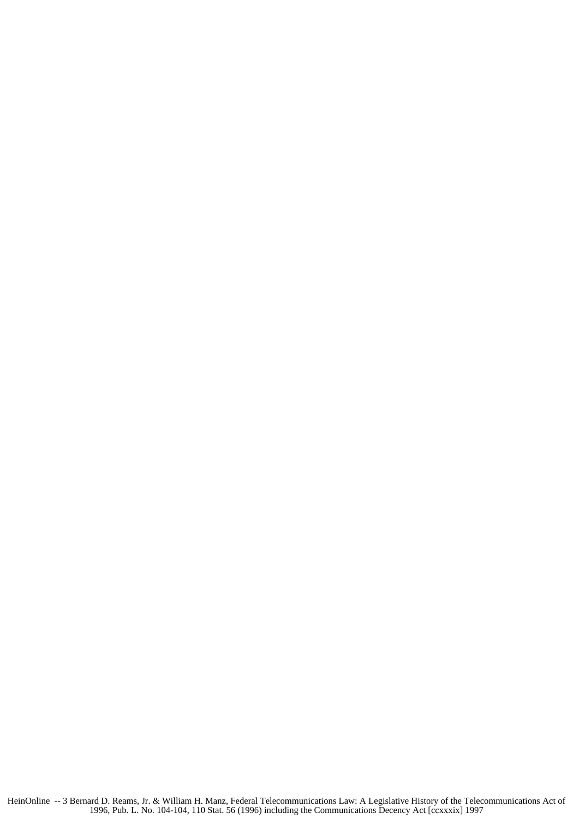HeinOnline -- 3 Bernard D. Reams, Jr. & William H. Manz, Federal Telecommunications Law: A Legislative History of the Telecommunications Act of 1996, Pub. L. No. 104-104, 110 Stat. 56 (1996) including the Communications Decency Act [ccxxxix] 1997